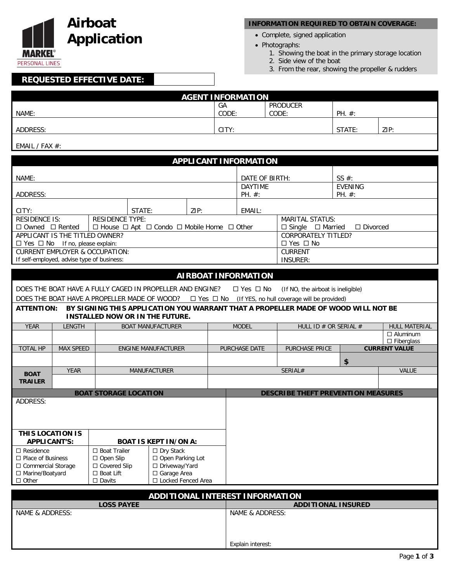

### **INFORMATION REQUIRED TO OBTAIN COVERAGE:**

- Complete, signed application
- Photographs:
	- 1. Showing the boat in the primary storage location
	- 2. Side view of the boat
	- 3. From the rear, showing the propeller & rudders

# **REQUESTED EFFECTIVE DATE:**

| <b>AGENT INFORMATION</b> |       |                 |            |      |
|--------------------------|-------|-----------------|------------|------|
|                          | GA    | <b>PRODUCER</b> |            |      |
| NAME:                    | CODE: | CODE:           | $PH. \#$ : |      |
|                          |       |                 |            |      |
| ADDRESS:                 | CITY: |                 | STATE:     | ZIP: |
|                          |       |                 |            |      |

#### EMAIL / FAX #:

| <b>APPLICANT INFORMATION</b>                                                  |                                                     |                                           |                                                                                   |                 |                          |                                                 |                                                                  |    |                      |
|-------------------------------------------------------------------------------|-----------------------------------------------------|-------------------------------------------|-----------------------------------------------------------------------------------|-----------------|--------------------------|-------------------------------------------------|------------------------------------------------------------------|----|----------------------|
|                                                                               |                                                     |                                           |                                                                                   |                 |                          | SS $#$ :                                        |                                                                  |    |                      |
|                                                                               | NAME:                                               |                                           |                                                                                   | <b>DAYTIME</b>  | DATE OF BIRTH:           |                                                 |                                                                  |    |                      |
| ADDRESS:                                                                      |                                                     |                                           | PH. #:                                                                            |                 | <b>EVENING</b><br>PH. #: |                                                 |                                                                  |    |                      |
| CITY:                                                                         |                                                     |                                           | STATE:                                                                            | ZIP:            |                          | EMAIL:                                          |                                                                  |    |                      |
| <b>RESIDENCE IS:</b>                                                          |                                                     | <b>RESIDENCE TYPE:</b>                    |                                                                                   |                 |                          |                                                 | <b>MARITAL STATUS:</b>                                           |    |                      |
| $\Box$ Owned $\Box$ Rented                                                    |                                                     |                                           | $\Box$ House $\Box$ Apt $\Box$ Condo $\Box$ Mobile Home $\Box$ Other              |                 |                          | $\Box$ Divorced<br>$\Box$ Single $\Box$ Married |                                                                  |    |                      |
| APPLICANT IS THE TITLED OWNER?                                                |                                                     |                                           |                                                                                   |                 |                          | <b>CORPORATELY TITLED?</b>                      |                                                                  |    |                      |
| $\Box$ Yes $\Box$ No If no, please explain:                                   |                                                     |                                           |                                                                                   |                 |                          | $\Box$ Yes $\Box$ No                            |                                                                  |    |                      |
|                                                                               |                                                     | <b>CURRENT EMPLOYER &amp; OCCUPATION:</b> |                                                                                   |                 |                          | <b>CURRENT</b>                                  |                                                                  |    |                      |
| If self-employed, advise type of business:                                    |                                                     |                                           |                                                                                   |                 |                          |                                                 | <b>INSURER:</b>                                                  |    |                      |
|                                                                               |                                                     |                                           |                                                                                   |                 |                          | <b>AIRBOAT INFORMATION</b>                      |                                                                  |    |                      |
|                                                                               |                                                     |                                           |                                                                                   |                 |                          |                                                 |                                                                  |    |                      |
|                                                                               |                                                     |                                           | DOES THE BOAT HAVE A FULLY CAGED IN PROPELLER AND ENGINE?                         |                 |                          | $\Box$ Yes $\Box$ No                            | (If NO, the airboat is ineligible)                               |    |                      |
|                                                                               |                                                     |                                           | DOES THE BOAT HAVE A PROPELLER MADE OF WOOD?                                      |                 |                          |                                                 | $\Box$ Yes $\Box$ No (If YES, no hull coverage will be provided) |    |                      |
| <b>ATTENTION:</b>                                                             |                                                     |                                           | BY SIGNING THIS APPLICATION YOU WARRANT THAT A PROPELLER MADE OF WOOD WILL NOT BE |                 |                          |                                                 |                                                                  |    |                      |
|                                                                               |                                                     |                                           | <b>INSTALLED NOW OR IN THE FUTURE.</b>                                            |                 |                          |                                                 |                                                                  |    |                      |
| <b>YEAR</b>                                                                   | <b>LENGTH</b>                                       |                                           | <b>BOAT MANUFACTURER</b>                                                          |                 |                          | <b>MODEL</b>                                    | HULL ID # OR SERIAL #                                            |    | HULL MATERIAL        |
|                                                                               |                                                     |                                           |                                                                                   |                 |                          |                                                 |                                                                  |    | $\Box$ Aluminum      |
|                                                                               |                                                     |                                           |                                                                                   |                 |                          |                                                 |                                                                  |    | □ Fiberglass         |
| <b>TOTAL HP</b>                                                               | <b>MAX SPEED</b>                                    |                                           | <b>ENGINE MANUFACTURER</b>                                                        |                 |                          | PURCHASE DATE                                   | PURCHASE PRICE                                                   |    | <b>CURRENT VALUE</b> |
|                                                                               |                                                     |                                           |                                                                                   |                 |                          |                                                 |                                                                  | \$ |                      |
| <b>BOAT</b>                                                                   | <b>YEAR</b>                                         |                                           | MANUFACTURER                                                                      |                 |                          |                                                 | SERIAL#                                                          |    | <b>VALUE</b>         |
| <b>TRAILER</b>                                                                |                                                     |                                           |                                                                                   |                 |                          |                                                 |                                                                  |    |                      |
|                                                                               |                                                     | <b>BOAT STORAGE LOCATION</b>              |                                                                                   |                 |                          |                                                 | <b>DESCRIBE THEFT PREVENTION MEASURES</b>                        |    |                      |
| ADDRESS:                                                                      |                                                     |                                           |                                                                                   |                 |                          |                                                 |                                                                  |    |                      |
|                                                                               |                                                     |                                           |                                                                                   |                 |                          |                                                 |                                                                  |    |                      |
|                                                                               |                                                     |                                           |                                                                                   |                 |                          |                                                 |                                                                  |    |                      |
|                                                                               |                                                     |                                           |                                                                                   |                 |                          |                                                 |                                                                  |    |                      |
| THIS LOCATION IS                                                              |                                                     |                                           |                                                                                   |                 |                          |                                                 |                                                                  |    |                      |
| <b>APPLICANT'S:</b>                                                           |                                                     |                                           | <b>BOAT IS KEPT IN/ON A:</b>                                                      |                 |                          |                                                 |                                                                  |    |                      |
| $\Box$ Residence                                                              |                                                     | $\Box$ Boat Trailer                       | $\Box$ Dry Stack                                                                  |                 |                          |                                                 |                                                                  |    |                      |
| □ Place of Business<br>□ Commercial Storage                                   |                                                     | $\Box$ Open Slip                          | □ Open Parking Lot<br>□ Driveway/Yard                                             |                 |                          |                                                 |                                                                  |    |                      |
|                                                                               | □ Covered Slip<br>$\Box$ Boat Lift<br>□ Garage Area |                                           |                                                                                   |                 |                          |                                                 |                                                                  |    |                      |
| □ Marine/Boatyard<br>$\Box$ Other<br>$\square$ Davits<br>□ Locked Fenced Area |                                                     |                                           |                                                                                   |                 |                          |                                                 |                                                                  |    |                      |
|                                                                               |                                                     |                                           |                                                                                   |                 |                          |                                                 |                                                                  |    |                      |
|                                                                               |                                                     |                                           |                                                                                   |                 |                          | <b>ADDITIONAL INTEREST INFORMATION</b>          |                                                                  |    |                      |
| <b>LOSS PAYEE</b><br><b>ADDITIONAL INSURED</b>                                |                                                     |                                           |                                                                                   |                 |                          |                                                 |                                                                  |    |                      |
| NAME & ADDRESS:                                                               |                                                     |                                           |                                                                                   | NAME & ADDRESS: |                          |                                                 |                                                                  |    |                      |
|                                                                               |                                                     |                                           |                                                                                   |                 |                          |                                                 |                                                                  |    |                      |
|                                                                               |                                                     |                                           |                                                                                   |                 |                          |                                                 |                                                                  |    |                      |
|                                                                               |                                                     |                                           |                                                                                   |                 |                          | Explain interest:                               |                                                                  |    |                      |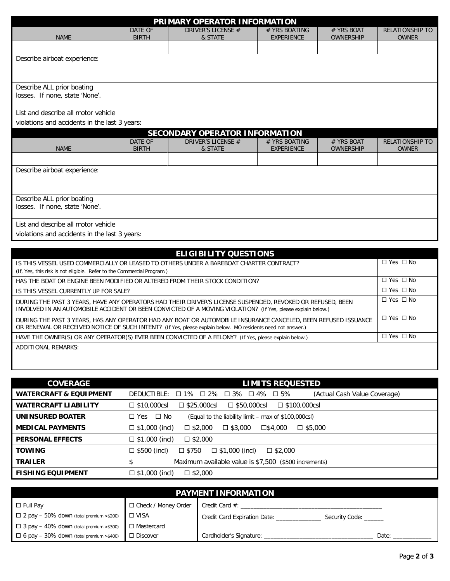| PRIMARY OPERATOR INFORMATION                  |                                     |                                       |                                    |                                |                                        |
|-----------------------------------------------|-------------------------------------|---------------------------------------|------------------------------------|--------------------------------|----------------------------------------|
| <b>NAME</b>                                   | DATE OF<br><b>BIRTH</b>             | DRIVER'S LICENSE #<br>& STATE         | # YRS BOATING<br><b>EXPERIENCE</b> | # YRS BOAT<br><b>OWNERSHIP</b> | <b>RELATIONSHIP TO</b><br><b>OWNER</b> |
|                                               |                                     |                                       |                                    |                                |                                        |
| Describe airboat experience:                  |                                     |                                       |                                    |                                |                                        |
|                                               |                                     |                                       |                                    |                                |                                        |
| Describe ALL prior boating                    |                                     |                                       |                                    |                                |                                        |
| losses. If none, state 'None'.                |                                     |                                       |                                    |                                |                                        |
| List and describe all motor vehicle           |                                     |                                       |                                    |                                |                                        |
| violations and accidents in the last 3 years: |                                     |                                       |                                    |                                |                                        |
|                                               |                                     | <b>SECONDARY OPERATOR INFORMATION</b> |                                    |                                |                                        |
| <b>NAME</b>                                   | DATE OF<br><b>BIRTH</b>             | DRIVER'S LICENSE #<br>& STATE         | # YRS BOATING<br><b>EXPERIENCE</b> | # YRS BOAT<br><b>OWNERSHIP</b> | <b>RELATIONSHIP TO</b><br><b>OWNER</b> |
|                                               |                                     |                                       |                                    |                                |                                        |
| Describe airboat experience:                  |                                     |                                       |                                    |                                |                                        |
|                                               |                                     |                                       |                                    |                                |                                        |
| Describe ALL prior boating                    |                                     |                                       |                                    |                                |                                        |
| losses. If none, state 'None'.                |                                     |                                       |                                    |                                |                                        |
|                                               | List and describe all motor vehicle |                                       |                                    |                                |                                        |
| violations and accidents in the last 3 years: |                                     |                                       |                                    |                                |                                        |

| <b>ELIGIBILITY QUESTIONS</b>                                                                                                                                                                                                  |                      |
|-------------------------------------------------------------------------------------------------------------------------------------------------------------------------------------------------------------------------------|----------------------|
| IS THIS VESSEL USED COMMERCIALLY OR LEASED TO OTHERS UNDER A BAREBOAT CHARTER CONTRACT?                                                                                                                                       | $\Box$ Yes $\Box$ No |
| (If, Yes, this risk is not eligible. Refer to the Commercial Program.)                                                                                                                                                        |                      |
| HAS THE BOAT OR ENGINE BEEN MODIFIED OR ALTERED FROM THEIR STOCK CONDITION?                                                                                                                                                   | $\Box$ Yes $\Box$ No |
| IS THIS VESSEL CURRENTLY UP FOR SALE?                                                                                                                                                                                         | $\Box$ Yes $\Box$ No |
| DURING THE PAST 3 YEARS, HAVE ANY OPERATORS HAD THEIR DRIVER'S LICENSE SUSPENDED, REVOKED OR REFUSED, BEEN<br>INVOLVED IN AN AUTOMOBILE ACCIDENT OR BEEN CONVICTED OF A MOVING VIOLATION? (If Yes, please explain below.)     | $\Box$ Yes $\Box$ No |
| DURING THE PAST 3 YEARS, HAS ANY OPERATOR HAD ANY BOAT OR AUTOMOBILE INSURANCE CANCELED, BEEN REFUSED ISSUANCE<br>OR RENEWAL OR RECEIVED NOTICE OF SUCH INTENT? (If Yes, please explain below. MO residents need not answer.) | $\Box$ Yes $\Box$ No |
| HAVE THE OWNER(S) OR ANY OPERATOR(S) EVER BEEN CONVICTED OF A FELONY? (If Yes, please explain below.)                                                                                                                         | $\Box$ Yes $\Box$ No |
| ADDITIONAL REMARKS:                                                                                                                                                                                                           |                      |

| <b>COVERAGE</b>                   | <b>LIMITS REQUESTED</b>                                                                                |  |  |  |
|-----------------------------------|--------------------------------------------------------------------------------------------------------|--|--|--|
| <b>WATERCRAFT &amp; EQUIPMENT</b> | (Actual Cash Value Coverage)<br>$\Box$ 1% $\Box$ 2% $\Box$ 3% $\Box$ 4%<br>DEDUCTIBLE:<br>$\square$ 5% |  |  |  |
| <b>WATERCRAFT LIABILITY</b>       | $\Box$ \$10,000csl<br>$\Box$ \$50,000csl<br>$\Box$ \$100,000csl<br>$\square$ \$25,000csl               |  |  |  |
| UNINSURED BOATER                  | $\Box$ No<br>$\Box$ Yes<br>(Equal to the liability limit – max of \$100,000csl)                        |  |  |  |
| <b>MEDICAL PAYMENTS</b>           | $\Box$ \$1,000 (incl)<br>$\Box$ \$2,000<br>$\Box$ \$3.000<br>□\$4,000<br>$\square$ \$5,000             |  |  |  |
| <b>PERSONAL EFFECTS</b>           | $\Box$ \$1,000 (incl)<br>$\square$ \$2,000                                                             |  |  |  |
| <b>TOWING</b>                     | $\square$ \$500 (incl)<br>$\Box$ \$1,000 (incl)<br>□ \$750<br>$\Box$ \$2,000                           |  |  |  |
| <b>TRAILER</b>                    | Maximum available value is \$7,500 (\$500 increments)<br>\$                                            |  |  |  |
| <b>FISHING EQUIPMENT</b>          | $\Box$ \$1,000 (incl)<br>$\square$ \$2,000                                                             |  |  |  |

|                                                |                       | <b>PAYMENT INFORMATION</b>                       |       |
|------------------------------------------------|-----------------------|--------------------------------------------------|-------|
| $\Box$ Full Pay                                | □ Check / Money Order | Credit Card $#$ :                                |       |
| $\Box$ 2 pay - 50% down (total premium >\$200) | $\Box$ VISA           | Credit Card Expiration Date: _<br>Security Code: |       |
| $\Box$ 3 pay - 40% down (total premium >\$300) | □ Mastercard          |                                                  |       |
| $\Box$ 6 pay - 30% down (total premium >\$400) | $\Box$ Discover       | Cardholder's Signature:                          | Date: |